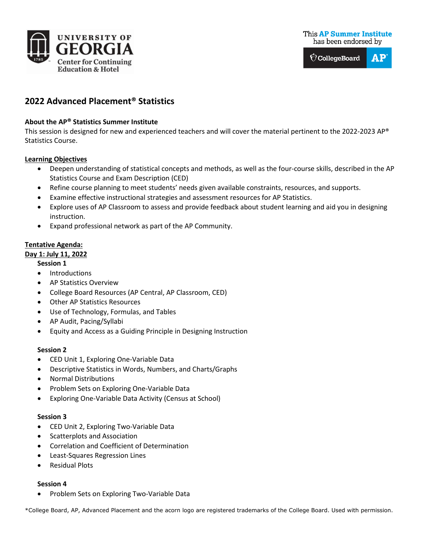



# **2022 Advanced Placement® Statistics**

## **About the AP® Statistics Summer Institute**

This session is designed for new and experienced teachers and will cover the material pertinent to the 2022-2023 AP® Statistics Course.

#### **Learning Objectives**

- Deepen understanding of statistical concepts and methods, as well as the four-course skills, described in the AP Statistics Course and Exam Description (CED)
- Refine course planning to meet students' needs given available constraints, resources, and supports.
- Examine effective instructional strategies and assessment resources for AP Statistics.
- Explore uses of AP Classroom to assess and provide feedback about student learning and aid you in designing instruction.
- Expand professional network as part of the AP Community.

# **Tentative Agenda:**

## **Day 1: July 11, 2022**

#### **Session 1**

- Introductions
- AP Statistics Overview
- College Board Resources (AP Central, AP Classroom, CED)
- Other AP Statistics Resources
- Use of Technology, Formulas, and Tables
- AP Audit, Pacing/Syllabi
- Equity and Access as a Guiding Principle in Designing Instruction

## **Session 2**

- CED Unit 1, Exploring One-Variable Data
- Descriptive Statistics in Words, Numbers, and Charts/Graphs
- Normal Distributions
- Problem Sets on Exploring One-Variable Data
- Exploring One-Variable Data Activity (Census at School)

## **Session 3**

- CED Unit 2, Exploring Two-Variable Data
- Scatterplots and Association
- Correlation and Coefficient of Determination
- Least-Squares Regression Lines
- Residual Plots

## **Session 4**

• Problem Sets on Exploring Two-Variable Data

\*College Board, AP, Advanced Placement and the acorn logo are registered trademarks of the College Board. Used with permission.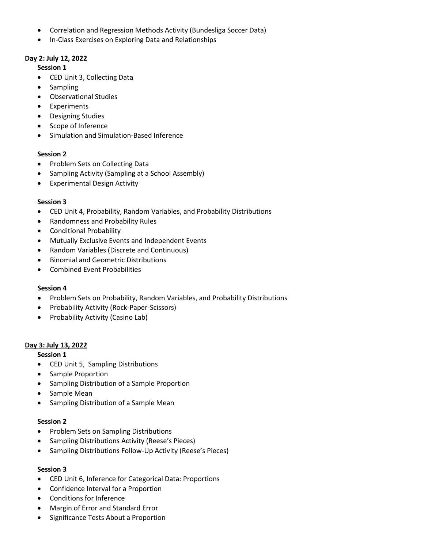- Correlation and Regression Methods Activity (Bundesliga Soccer Data)
- In-Class Exercises on Exploring Data and Relationships

# **Day 2: July 12, 2022**

## **Session 1**

- CED Unit 3, Collecting Data
- Sampling
- Observational Studies
- Experiments
- Designing Studies
- Scope of Inference
- Simulation and Simulation-Based Inference

## **Session 2**

- Problem Sets on Collecting Data
- Sampling Activity (Sampling at a School Assembly)
- Experimental Design Activity

#### **Session 3**

- CED Unit 4, Probability, Random Variables, and Probability Distributions
- Randomness and Probability Rules
- Conditional Probability
- Mutually Exclusive Events and Independent Events
- Random Variables (Discrete and Continuous)
- Binomial and Geometric Distributions
- Combined Event Probabilities

#### **Session 4**

- Problem Sets on Probability, Random Variables, and Probability Distributions
- Probability Activity (Rock-Paper-Scissors)
- Probability Activity (Casino Lab)

## **Day 3: July 13, 2022**

## **Session 1**

- CED Unit 5, Sampling Distributions
- Sample Proportion
- Sampling Distribution of a Sample Proportion
- Sample Mean
- Sampling Distribution of a Sample Mean

## **Session 2**

- Problem Sets on Sampling Distributions
- Sampling Distributions Activity (Reese's Pieces)
- Sampling Distributions Follow-Up Activity (Reese's Pieces)

## **Session 3**

- CED Unit 6, Inference for Categorical Data: Proportions
- Confidence Interval for a Proportion
- Conditions for Inference
- Margin of Error and Standard Error
- Significance Tests About a Proportion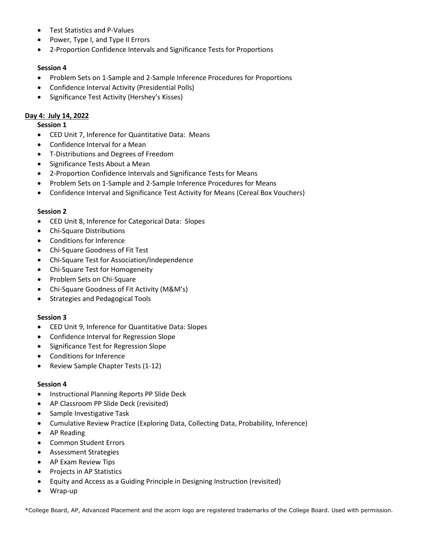- Test Statistics and P-Values
- Power, Type I, and Type II Errors
- 2-Proportion Confidence Intervals and Significance Tests for Proportions

## **Session 4**

- Problem Sets on 1-Sample and 2-Sample Inference Procedures for Proportions
- Confidence Interval Activity (Presidential Polls)
- Significance Test Activity (Hershey's Kisses)

## **Day 4: July 14, 2022**

#### **Session 1**

- CED Unit 7, Inference for Quantitative Data: Means
- Confidence Interval for a Mean
- T-Distributions and Degrees of Freedom
- Significance Tests About a Mean
- 2-Proportion Confidence Intervals and Significance Tests for Means
- Problem Sets on 1-Sample and 2-Sample Inference Procedures for Means
- Confidence Interval and Significance Test Activity for Means (Cereal Box Vouchers)

#### **Session 2**

- CED Unit 8, Inference for Categorical Data: Slopes
- Chi-Square Distributions
- Conditions for Inference
- Chi-Square Goodness of Fit Test
- Chi-Square Test for Association/Independence
- Chi-Square Test for Homogeneity
- Problem Sets on Chi-Square
- Chi-Square Goodness of Fit Activity (M&M's)
- Strategies and Pedagogical Tools

## **Session 3**

- CED Unit 9, Inference for Quantitative Data: Slopes
- Confidence Interval for Regression Slope
- Significance Test for Regression Slope
- Conditions for Inference
- Review Sample Chapter Tests (1-12)

#### **Session 4**

- Instructional Planning Reports PP Slide Deck
- AP Classroom PP Slide Deck (revisited)
- Sample Investigative Task
- Cumulative Review Practice (Exploring Data, Collecting Data, Probability, Inference)
- AP Reading
- Common Student Errors
- Assessment Strategies
- AP Exam Review Tips
- Projects in AP Statistics
- Equity and Access as a Guiding Principle in Designing Instruction (revisited)
- Wrap-up

\*College Board, AP, Advanced Placement and the acorn logo are registered trademarks of the College Board. Used with permission.